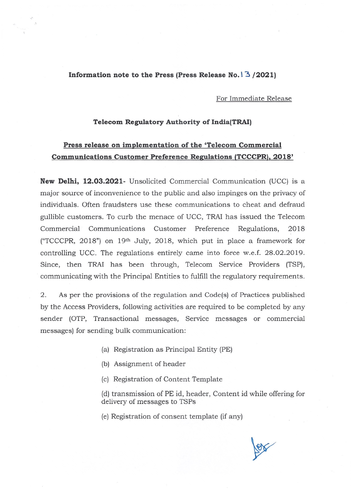## **Information note to the Press (Press Release No.' "3 /2021)**

For Immediate Release

## **Telecom Regulatory Authority of India(TRAI)**

## **Press release on implementation of the 'Telecom Commercial Communications Customer Preference Regulations (TCCCPR),2018'**

**New Delhi, 12.03.2021-** Unsolicited Commercial Communication (UCC) is a major source of inconvenience to the public and also impinges on the privacy of individuals. Often fraudsters use these communications to cheat and defraud gullible customers. To curb the menace of UCC, TRAIhas issued the Telecom Commercial Communications Customer Preference Regulations, 2018 ("TCCCPR,2018") on 19th July, 2018, which put in place a framework for controlling UCC. The regulations entirely came into force w.e.f. 28.02.2019. Since, then TRAI has been through, Telecom Service Providers (TSP), communicating with the Principal Entities to fulfill the regulatory requirements.

2. As per the provisions of the regulation and Code(s) of Practices published by the Access Providers, following activities are required to be completed by any sender (OTP, Transactional messages, Service messages or commercial messages) for sending bulk communication:

- (a) Registration as Principal Entity (PE)
- (b) Assignment of header
- (c) Registration of Content Template
- (d) transmission of PE id, header, Content id while offering for delivery of messages to TSPs
- (e) Registration of consent template (if any)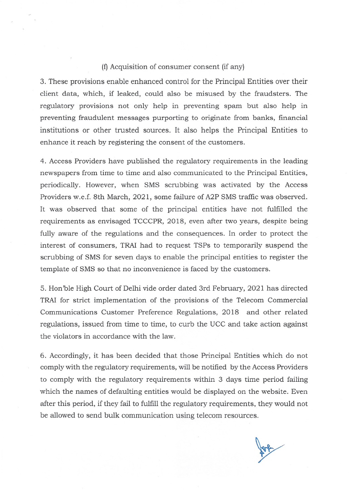## (f)Acquisition of consumer consent (if any)

3. These provisions enable enhanced control for the Principal Entities over their client data, which, if leaked, could also be misused by the fraudsters. The regulatory provisions not only help in preventing spam but also help in preventing fraudulent messages purporting to originate from banks, financial institutions or other trusted sources. It also helps the Principal Entities to enhance it reach by registering the consent of the customers.

4. Access Providers have published the regulatory requirements in the leading newspapers from time to time and also communicated to the Principal Entities, periodically. However, when SMS scrubbing was activated by the Access Providers w.e.f. 8th March, 2021, some failure of A2P SMS traffic was observed. It was observed that some of the principal entities have not fulfilled the requirements as envisaged TCCCPR, 2018, even after two years, despite being fully aware of the regulations and the consequences. In order to protect the interest of consumers, TRAI had to request TSPs to temporarily suspend the scrubbing of SMS for seven days to enable the principal entities to register the template of SMS so that no inconvenience is faced by the customers.

5. Hon 'ble High Court of Delhi vide order dated 3rd February, 2021 has directed TRAI for strict implementation of the provisions of the Telecom Commercial Communications Customer Preference Regulations, 2018 and other related regulations, issued from time to time, to curb the UCC and take action against the violators in accordance with the law.

6. Accordingly, it has been decided that those Principal Entities which do not comply with the regulatory requirements, will be notified by the Access Providers to comply with the regulatory requirements within 3 days time period failing which the names of defaulting entities would be displayed on the website. Even after this period, if they fail to fulfill the regulatory requirements, they would not be allowed to send bulk communication using telecom resources.